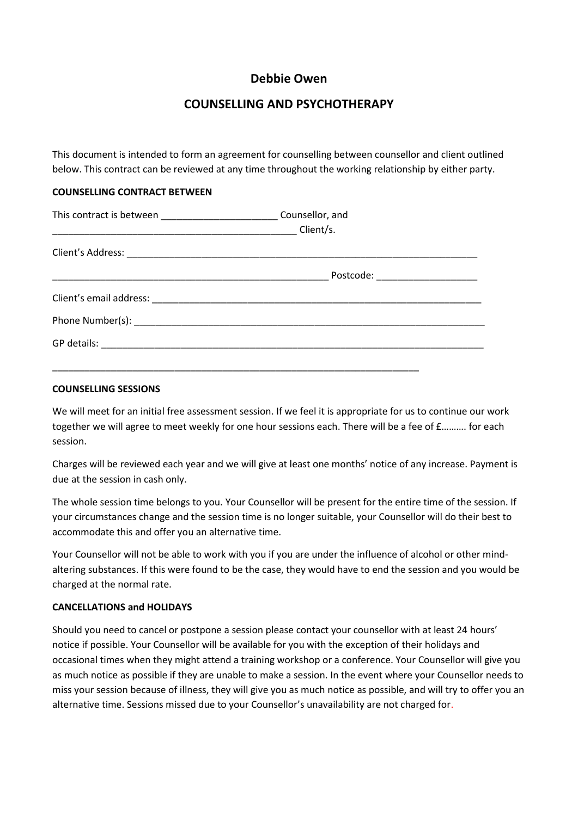# **Debbie Owen**

# **COUNSELLING AND PSYCHOTHERAPY**

This document is intended to form an agreement for counselling between counsellor and client outlined below. This contract can be reviewed at any time throughout the working relationship by either party.

## **COUNSELLING CONTRACT BETWEEN**

| This contract is between _________________________________Counsellor, and |                                  |
|---------------------------------------------------------------------------|----------------------------------|
|                                                                           |                                  |
|                                                                           |                                  |
|                                                                           | Postcode: ______________________ |
|                                                                           |                                  |
|                                                                           |                                  |
|                                                                           |                                  |
|                                                                           |                                  |

### **COUNSELLING SESSIONS**

We will meet for an initial free assessment session. If we feel it is appropriate for us to continue our work together we will agree to meet weekly for one hour sessions each. There will be a fee of £………. for each session.

Charges will be reviewed each year and we will give at least one months' notice of any increase. Payment is due at the session in cash only.

The whole session time belongs to you. Your Counsellor will be present for the entire time of the session. If your circumstances change and the session time is no longer suitable, your Counsellor will do their best to accommodate this and offer you an alternative time.

Your Counsellor will not be able to work with you if you are under the influence of alcohol or other mindaltering substances. If this were found to be the case, they would have to end the session and you would be charged at the normal rate.

### **CANCELLATIONS and HOLIDAYS**

Should you need to cancel or postpone a session please contact your counsellor with at least 24 hours' notice if possible. Your Counsellor will be available for you with the exception of their holidays and occasional times when they might attend a training workshop or a conference. Your Counsellor will give you as much notice as possible if they are unable to make a session. In the event where your Counsellor needs to miss your session because of illness, they will give you as much notice as possible, and will try to offer you an alternative time. Sessions missed due to your Counsellor's unavailability are not charged for.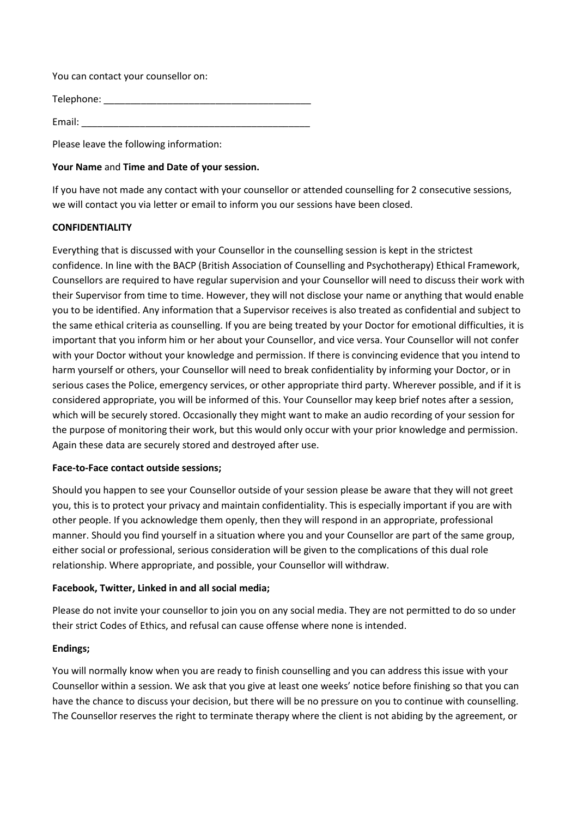You can contact your counsellor on:

Telephone: \_\_\_\_\_\_\_\_\_\_\_\_\_\_\_\_\_\_\_\_\_\_\_\_\_\_\_\_\_\_\_\_\_\_\_\_\_\_\_

Email:

Please leave the following information:

# **Your Name** and **Time and Date of your session.**

If you have not made any contact with your counsellor or attended counselling for 2 consecutive sessions, we will contact you via letter or email to inform you our sessions have been closed.

## **CONFIDENTIALITY**

Everything that is discussed with your Counsellor in the counselling session is kept in the strictest confidence. In line with the BACP (British Association of Counselling and Psychotherapy) Ethical Framework, Counsellors are required to have regular supervision and your Counsellor will need to discuss their work with their Supervisor from time to time. However, they will not disclose your name or anything that would enable you to be identified. Any information that a Supervisor receives is also treated as confidential and subject to the same ethical criteria as counselling. If you are being treated by your Doctor for emotional difficulties, it is important that you inform him or her about your Counsellor, and vice versa. Your Counsellor will not confer with your Doctor without your knowledge and permission. If there is convincing evidence that you intend to harm yourself or others, your Counsellor will need to break confidentiality by informing your Doctor, or in serious cases the Police, emergency services, or other appropriate third party. Wherever possible, and if it is considered appropriate, you will be informed of this. Your Counsellor may keep brief notes after a session, which will be securely stored. Occasionally they might want to make an audio recording of your session for the purpose of monitoring their work, but this would only occur with your prior knowledge and permission. Again these data are securely stored and destroyed after use.

### **Face-to-Face contact outside sessions;**

Should you happen to see your Counsellor outside of your session please be aware that they will not greet you, this is to protect your privacy and maintain confidentiality. This is especially important if you are with other people. If you acknowledge them openly, then they will respond in an appropriate, professional manner. Should you find yourself in a situation where you and your Counsellor are part of the same group, either social or professional, serious consideration will be given to the complications of this dual role relationship. Where appropriate, and possible, your Counsellor will withdraw.

# **Facebook, Twitter, Linked in and all social media;**

Please do not invite your counsellor to join you on any social media. They are not permitted to do so under their strict Codes of Ethics, and refusal can cause offense where none is intended.

### **Endings;**

You will normally know when you are ready to finish counselling and you can address this issue with your Counsellor within a session. We ask that you give at least one weeks' notice before finishing so that you can have the chance to discuss your decision, but there will be no pressure on you to continue with counselling. The Counsellor reserves the right to terminate therapy where the client is not abiding by the agreement, or